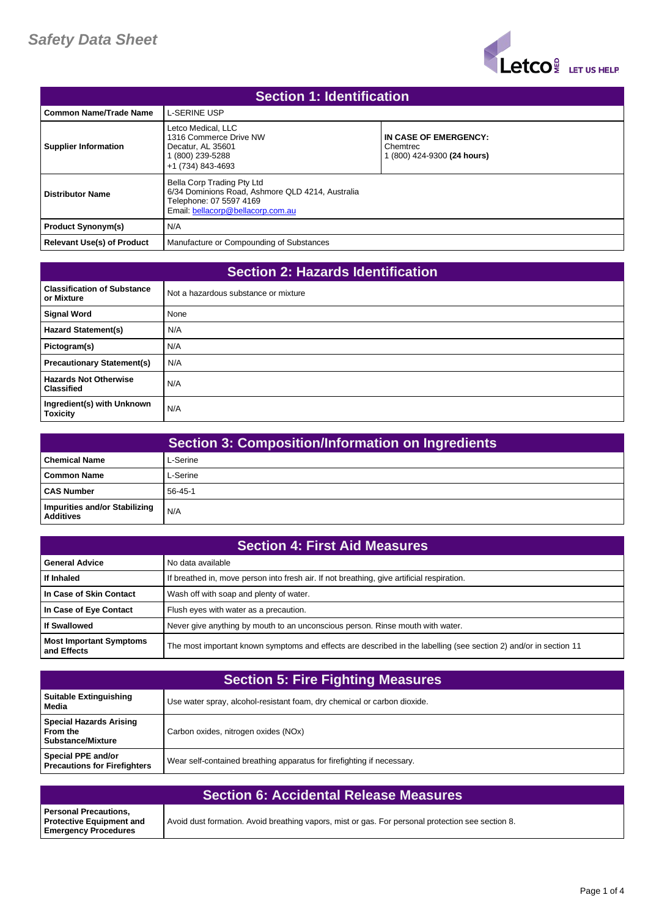

| <b>Section 1: Identification</b>  |                                                                                                                                                |                                                                  |
|-----------------------------------|------------------------------------------------------------------------------------------------------------------------------------------------|------------------------------------------------------------------|
| <b>Common Name/Trade Name</b>     | <b>L-SERINE USP</b>                                                                                                                            |                                                                  |
| <b>Supplier Information</b>       | Letco Medical, LLC<br>1316 Commerce Drive NW<br>Decatur. AL 35601<br>(800) 239-5288<br>+1 (734) 843-4693                                       | IN CASE OF EMERGENCY:<br>Chemtrec<br>1 (800) 424-9300 (24 hours) |
| Distributor Name                  | Bella Corp Trading Pty Ltd<br>6/34 Dominions Road, Ashmore QLD 4214, Australia<br>Telephone: 07 5597 4169<br>Email: bellacorp@bellacorp.com.au |                                                                  |
| <b>Product Synonym(s)</b>         | N/A                                                                                                                                            |                                                                  |
| <b>Relevant Use(s) of Product</b> | Manufacture or Compounding of Substances                                                                                                       |                                                                  |

| <b>Section 2: Hazards Identification</b>          |                                      |
|---------------------------------------------------|--------------------------------------|
| <b>Classification of Substance</b><br>or Mixture  | Not a hazardous substance or mixture |
| <b>Signal Word</b>                                | None                                 |
| <b>Hazard Statement(s)</b>                        | N/A                                  |
| Pictogram(s)                                      | N/A                                  |
| <b>Precautionary Statement(s)</b>                 | N/A                                  |
| <b>Hazards Not Otherwise</b><br><b>Classified</b> | N/A                                  |
| Ingredient(s) with Unknown<br><b>Toxicity</b>     | N/A                                  |

|                                                   | <b>Section 3: Composition/Information on Ingredients</b> |
|---------------------------------------------------|----------------------------------------------------------|
| l Chemical Name                                   | L-Serine                                                 |
| l Common Name                                     | L-Serine                                                 |
| <b>CAS Number</b>                                 | $56 - 45 - 1$                                            |
| Impurities and/or Stabilizing<br><b>Additives</b> | N/A                                                      |

| <b>Section 4: First Aid Measures</b>          |                                                                                                                   |
|-----------------------------------------------|-------------------------------------------------------------------------------------------------------------------|
| <b>General Advice</b>                         | No data available                                                                                                 |
| If Inhaled                                    | If breathed in, move person into fresh air. If not breathing, give artificial respiration.                        |
| In Case of Skin Contact                       | Wash off with soap and plenty of water.                                                                           |
| In Case of Eye Contact                        | Flush eyes with water as a precaution.                                                                            |
| <b>If Swallowed</b>                           | Never give anything by mouth to an unconscious person. Rinse mouth with water.                                    |
| <b>Most Important Symptoms</b><br>and Effects | The most important known symptoms and effects are described in the labelling (see section 2) and/or in section 11 |

| <b>Section 5: Fire Fighting Measures</b>                               |                                                                          |
|------------------------------------------------------------------------|--------------------------------------------------------------------------|
| <b>Suitable Extinguishing</b><br>Media                                 | Use water spray, alcohol-resistant foam, dry chemical or carbon dioxide. |
| <b>Special Hazards Arising</b><br>From the<br><b>Substance/Mixture</b> | Carbon oxides, nitrogen oxides (NOx)                                     |
| Special PPE and/or<br><b>Precautions for Firefighters</b>              | Wear self-contained breathing apparatus for firefighting if necessary.   |

| <b>Section 6: Accidental Release Measures</b>                                                  |                                                                                                   |
|------------------------------------------------------------------------------------------------|---------------------------------------------------------------------------------------------------|
| <b>Personal Precautions,</b><br><b>Protective Equipment and</b><br><b>Emergency Procedures</b> | Avoid dust formation. Avoid breathing vapors, mist or gas. For personal protection see section 8. |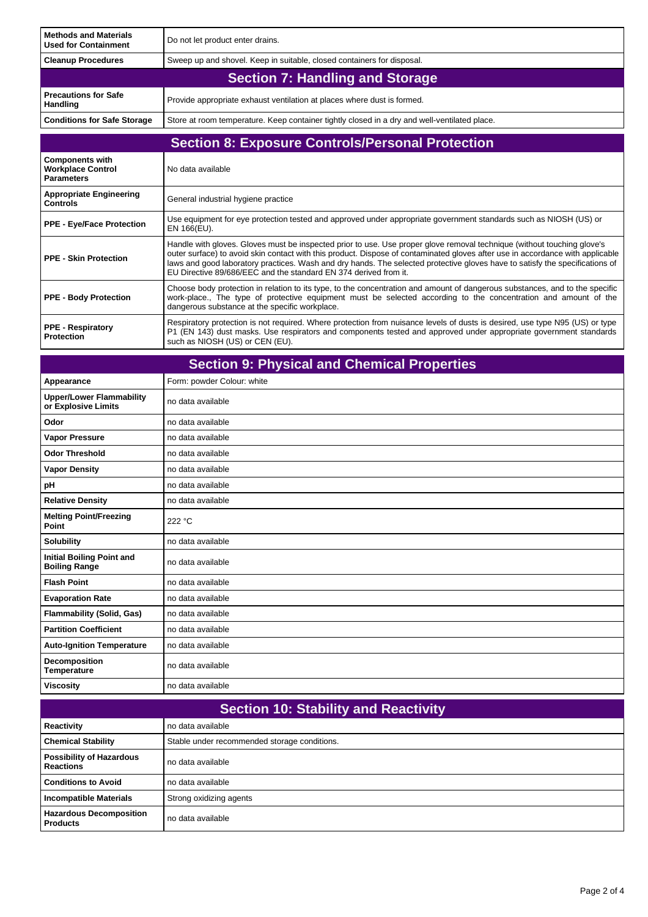| <b>Methods and Materials</b><br><b>Used for Containment</b>             | Do not let product enter drains.                                                                                                                                                                                                                                                                                                                                                                                                                              |
|-------------------------------------------------------------------------|---------------------------------------------------------------------------------------------------------------------------------------------------------------------------------------------------------------------------------------------------------------------------------------------------------------------------------------------------------------------------------------------------------------------------------------------------------------|
| <b>Cleanup Procedures</b>                                               | Sweep up and shovel. Keep in suitable, closed containers for disposal.                                                                                                                                                                                                                                                                                                                                                                                        |
|                                                                         | <b>Section 7: Handling and Storage</b>                                                                                                                                                                                                                                                                                                                                                                                                                        |
| <b>Precautions for Safe</b><br>Handling                                 | Provide appropriate exhaust ventilation at places where dust is formed.                                                                                                                                                                                                                                                                                                                                                                                       |
| <b>Conditions for Safe Storage</b>                                      | Store at room temperature. Keep container tightly closed in a dry and well-ventilated place.                                                                                                                                                                                                                                                                                                                                                                  |
| <b>Section 8: Exposure Controls/Personal Protection</b>                 |                                                                                                                                                                                                                                                                                                                                                                                                                                                               |
| <b>Components with</b><br><b>Workplace Control</b><br><b>Parameters</b> | No data available                                                                                                                                                                                                                                                                                                                                                                                                                                             |
| <b>Appropriate Engineering</b><br><b>Controls</b>                       | General industrial hygiene practice                                                                                                                                                                                                                                                                                                                                                                                                                           |
| <b>PPE - Eye/Face Protection</b>                                        | Use equipment for eye protection tested and approved under appropriate government standards such as NIOSH (US) or<br>EN 166(EU).                                                                                                                                                                                                                                                                                                                              |
| <b>PPE - Skin Protection</b>                                            | Handle with gloves. Gloves must be inspected prior to use. Use proper glove removal technique (without touching glove's<br>outer surface) to avoid skin contact with this product. Dispose of contaminated gloves after use in accordance with applicable<br>laws and good laboratory practices. Wash and dry hands. The selected protective gloves have to satisfy the specifications of<br>EU Directive 89/686/EEC and the standard EN 374 derived from it. |
| <b>PPE - Body Protection</b>                                            | Choose body protection in relation to its type, to the concentration and amount of dangerous substances, and to the specific<br>work-place., The type of protective equipment must be selected according to the concentration and amount of the<br>dangerous substance at the specific workplace.                                                                                                                                                             |
| <b>PPE - Respiratory</b><br><b>Protection</b>                           | Respiratory protection is not required. Where protection from nuisance levels of dusts is desired, use type N95 (US) or type<br>P1 (EN 143) dust masks. Use respirators and components tested and approved under appropriate government standards<br>such as NIOSH (US) or CEN (EU).                                                                                                                                                                          |

| <b>Section 9: Physical and Chemical Properties</b>       |                            |
|----------------------------------------------------------|----------------------------|
| Appearance                                               | Form: powder Colour: white |
| <b>Upper/Lower Flammability</b><br>or Explosive Limits   | no data available          |
| Odor                                                     | no data available          |
| <b>Vapor Pressure</b>                                    | no data available          |
| <b>Odor Threshold</b>                                    | no data available          |
| <b>Vapor Density</b>                                     | no data available          |
| pH                                                       | no data available          |
| <b>Relative Density</b>                                  | no data available          |
| <b>Melting Point/Freezing</b><br>Point                   | 222 °C                     |
| <b>Solubility</b>                                        | no data available          |
| <b>Initial Boiling Point and</b><br><b>Boiling Range</b> | no data available          |
| <b>Flash Point</b>                                       | no data available          |
| <b>Evaporation Rate</b>                                  | no data available          |
| <b>Flammability (Solid, Gas)</b>                         | no data available          |
| <b>Partition Coefficient</b>                             | no data available          |
| <b>Auto-Ignition Temperature</b>                         | no data available          |
| Decomposition<br>Temperature                             | no data available          |
| <b>Viscosity</b>                                         | no data available          |

| <b>Section 10: Stability and Reactivity</b>         |                                              |
|-----------------------------------------------------|----------------------------------------------|
| Reactivity                                          | no data available                            |
| <b>Chemical Stability</b>                           | Stable under recommended storage conditions. |
| <b>Possibility of Hazardous</b><br><b>Reactions</b> | no data available                            |
| <b>Conditions to Avoid</b>                          | no data available                            |
| <b>Incompatible Materials</b>                       | Strong oxidizing agents                      |
| <b>Hazardous Decomposition</b><br><b>Products</b>   | no data available                            |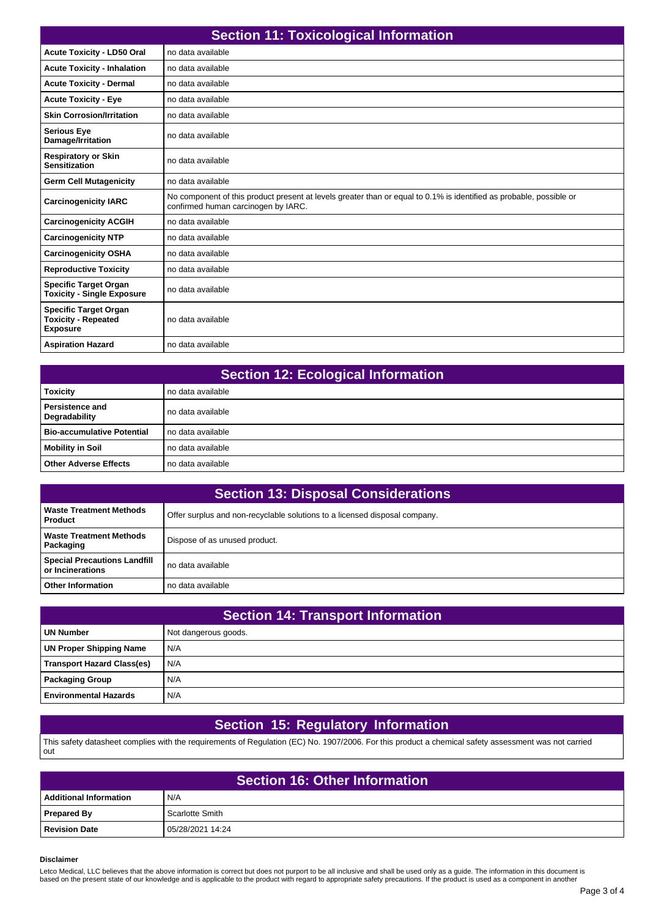| <b>Section 11: Toxicological Information</b>                                  |                                                                                                                                                            |
|-------------------------------------------------------------------------------|------------------------------------------------------------------------------------------------------------------------------------------------------------|
| <b>Acute Toxicity - LD50 Oral</b>                                             | no data available                                                                                                                                          |
| <b>Acute Toxicity - Inhalation</b>                                            | no data available                                                                                                                                          |
| <b>Acute Toxicity - Dermal</b>                                                | no data available                                                                                                                                          |
| <b>Acute Toxicity - Eye</b>                                                   | no data available                                                                                                                                          |
| <b>Skin Corrosion/Irritation</b>                                              | no data available                                                                                                                                          |
| <b>Serious Eye</b><br>Damage/Irritation                                       | no data available                                                                                                                                          |
| <b>Respiratory or Skin</b><br><b>Sensitization</b>                            | no data available                                                                                                                                          |
| <b>Germ Cell Mutagenicity</b>                                                 | no data available                                                                                                                                          |
| <b>Carcinogenicity IARC</b>                                                   | No component of this product present at levels greater than or equal to 0.1% is identified as probable, possible or<br>confirmed human carcinogen by IARC. |
| <b>Carcinogenicity ACGIH</b>                                                  | no data available                                                                                                                                          |
| <b>Carcinogenicity NTP</b>                                                    | no data available                                                                                                                                          |
| <b>Carcinogenicity OSHA</b>                                                   | no data available                                                                                                                                          |
| <b>Reproductive Toxicity</b>                                                  | no data available                                                                                                                                          |
| <b>Specific Target Organ</b><br><b>Toxicity - Single Exposure</b>             | no data available                                                                                                                                          |
| <b>Specific Target Organ</b><br><b>Toxicity - Repeated</b><br><b>Exposure</b> | no data available                                                                                                                                          |
| <b>Aspiration Hazard</b>                                                      | no data available                                                                                                                                          |

| <b>Section 12: Ecological Information</b> |                     |
|-------------------------------------------|---------------------|
| <b>Toxicity</b>                           | no data available   |
| l Persistence and<br>Degradability        | no data available   |
| <b>Bio-accumulative Potential</b>         | l no data available |
| <b>Mobility in Soil</b>                   | no data available   |
| <b>Other Adverse Effects</b>              | no data available   |

| <b>Section 13: Disposal Considerations</b>                |                                                                            |
|-----------------------------------------------------------|----------------------------------------------------------------------------|
| Waste Treatment Methods<br><b>Product</b>                 | Offer surplus and non-recyclable solutions to a licensed disposal company. |
| Waste Treatment Methods<br>Packaging                      | Dispose of as unused product.                                              |
| <b>Special Precautions Landfill</b><br>l or Incinerations | no data available                                                          |
| <b>Other Information</b>                                  | no data available                                                          |

| <b>Section 14: Transport Information</b> |                      |
|------------------------------------------|----------------------|
| <b>UN Number</b>                         | Not dangerous goods. |
| UN Proper Shipping Name                  | N/A                  |
| Transport Hazard Class(es)               | N/A                  |
| Packaging Group                          | N/A                  |
| <b>Environmental Hazards</b>             | N/A                  |

## **Section 15: Regulatory Information**

This safety datasheet complies with the requirements of Regulation (EC) No. 1907/2006. For this product a chemical safety assessment was not carried out

| <b>Section 16: Other Information</b> |                  |
|--------------------------------------|------------------|
| <b>Additional Information</b>        | N/A              |
| <b>Prepared By</b>                   | Scarlotte Smith  |
| <b>Revision Date</b>                 | 05/28/2021 14:24 |

## **Disclaimer**

Letco Medical, LLC believes that the above information is correct but does not purport to be all inclusive and shall be used only as a guide. The information in this document is<br>based on the present state of our knowledge